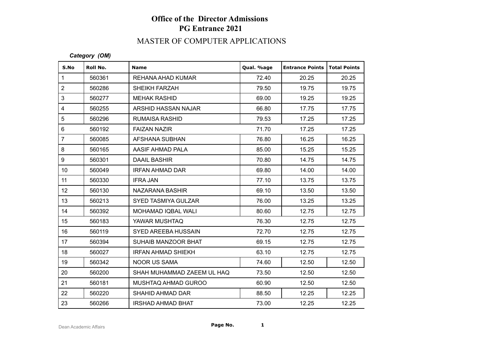# **Office of the Director Admissions PG Entrance 2021**

## MASTER OF COMPUTER APPLICATIONS

#### *Category (OM)*

| S.No                    | Roll No. | <b>Name</b>                | Qual. %age | <b>Entrance Points</b> | Total Points |
|-------------------------|----------|----------------------------|------------|------------------------|--------------|
| $\mathbf{1}$            | 560361   | REHANA AHAD KUMAR          | 72.40      | 20.25                  | 20.25        |
| $\overline{2}$          | 560286   | SHEIKH FARZAH              | 79.50      | 19.75                  | 19.75        |
| 3                       | 560277   | <b>MEHAK RASHID</b>        | 69.00      | 19.25                  | 19.25        |
| $\overline{\mathbf{4}}$ | 560255   | ARSHID HASSAN NAJAR        | 66.80      | 17.75                  | 17.75        |
| 5                       | 560296   | RUMAISA RASHID             | 79.53      | 17.25                  | 17.25        |
| $6\phantom{1}$          | 560192   | <b>FAIZAN NAZIR</b>        | 71.70      | 17.25                  | 17.25        |
| $\overline{7}$          | 560085   | AFSHANA SUBHAN             | 76.80      | 16.25                  | 16.25        |
| 8                       | 560165   | AASIF AHMAD PALA           | 85.00      | 15.25                  | 15.25        |
| 9                       | 560301   | DAAIL BASHIR               | 70.80      | 14.75                  | 14.75        |
| 10 <sup>°</sup>         | 560049   | <b>IRFAN AHMAD DAR</b>     | 69.80      | 14.00                  | 14.00        |
| 11                      | 560330   | <b>IFRA JAN</b>            | 77.10      | 13.75                  | 13.75        |
| 12 <sup>°</sup>         | 560130   | NAZARANA BASHIR            | 69.10      | 13.50                  | 13.50        |
| 13                      | 560213   | <b>SYED TASMIYA GULZAR</b> | 76.00      | 13.25                  | 13.25        |
| 14                      | 560392   | MOHAMAD IQBAL WALI         | 80.60      | 12.75                  | 12.75        |
| 15                      | 560183   | YAWAR MUSHTAQ              | 76.30      | 12.75                  | 12.75        |
| 16                      | 560119   | <b>SYED AREEBA HUSSAIN</b> | 72.70      | 12.75                  | 12.75        |
| 17                      | 560394   | SUHAIB MANZOOR BHAT        | 69.15      | 12.75                  | 12.75        |
| 18                      | 560027   | <b>IRFAN AHMAD SHIEKH</b>  | 63.10      | 12.75                  | 12.75        |
| 19                      | 560342   | <b>NOOR US SAMA</b>        | 74.60      | 12.50                  | 12.50        |
| 20                      | 560200   | SHAH MUHAMMAD ZAEEM UL HAQ | 73.50      | 12.50                  | 12.50        |
| 21                      | 560181   | MUSHTAQ AHMAD GUROO        | 60.90      | 12.50                  | 12.50        |
| 22                      | 560220   | SHAHID AHMAD DAR           | 88.50      | 12.25                  | 12.25        |
| 23                      | 560266   | <b>IRSHAD AHMAD BHAT</b>   | 73.00      | 12.25                  | 12.25        |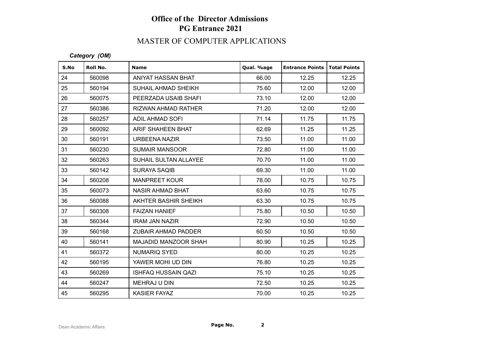# **Office of the Director Admissions PG Entrance 2021**

## MASTER OF COMPUTER APPLICATIONS

#### *Category (OM)*

| S.No | Roll No. | <b>Name</b>                | Qual. %age | <b>Entrance Points</b> | <b>Total Points</b> |
|------|----------|----------------------------|------------|------------------------|---------------------|
| 24   | 560098   | ANIYAT HASSAN BHAT         | 66.00      | 12.25                  | 12.25               |
| 25   | 560194   | SUHAIL AHMAD SHEIKH        | 75.60      | 12.00                  | 12.00               |
| 26   | 560075   | PEERZADA USAIB SHAFI       | 73.10      | 12.00                  | 12.00               |
| 27   | 560386   | <b>RIZWAN AHMAD RATHER</b> | 71.20      | 12.00                  | 12.00               |
| 28   | 560257   | <b>ADIL AHMAD SOFI</b>     | 71.14      | 11.75                  | 11.75               |
| 29   | 560092   | ARIF SHAHEEN BHAT          | 62.69      | 11.25                  | 11.25               |
| 30   | 560191   | URBEENA NAZIR              | 73.50      | 11.00                  | 11.00               |
| 31   | 560230   | <b>SUMAIR MANSOOR</b>      | 72.80      | 11.00                  | 11.00               |
| 32   | 560263   | SUHAIL SULTAN ALLAYEE      | 70.70      | 11.00                  | 11.00               |
| 33   | 560142   | <b>SURAYA SAQIB</b>        | 69.30      | 11.00                  | 11.00               |
| 34   | 560208   | <b>MANPREET KOUR</b>       | 78.00      | 10.75                  | 10.75               |
| 35   | 560073   | <b>NASIR AHMAD BHAT</b>    | 63.60      | 10.75                  | 10.75               |
| 36   | 560088   | AKHTER BASHIR SHEIKH       | 63.30      | 10.75                  | 10.75               |
| 37   | 560308   | <b>FAIZAN HANIEF</b>       | 75.80      | 10.50                  | 10.50               |
| 38   | 560344   | <b>IRAM JAN NAZIR</b>      | 72.90      | 10.50                  | 10.50               |
| 39   | 560168   | <b>ZUBAIR AHMAD PADDER</b> | 60.50      | 10.50                  | 10.50               |
| 40   | 560141   | MAJADID MANZOOR SHAH       | 80.90      | 10.25                  | 10.25               |
| 41   | 560372   | <b>NUMARIQ SYED</b>        | 80.00      | 10.25                  | 10.25               |
| 42   | 560195   | YAWER MOHI UD DIN          | 76.80      | 10.25                  | 10.25               |
| 43   | 560269   | <b>ISHFAQ HUSSAIN QAZI</b> | 75.10      | 10.25                  | 10.25               |
| 44   | 560247   | MEHRAJ U DIN               | 72.50      | 10.25                  | 10.25               |
| 45   | 560295   | <b>KASIER FAYAZ</b>        | 70.00      | 10.25                  | 10.25               |